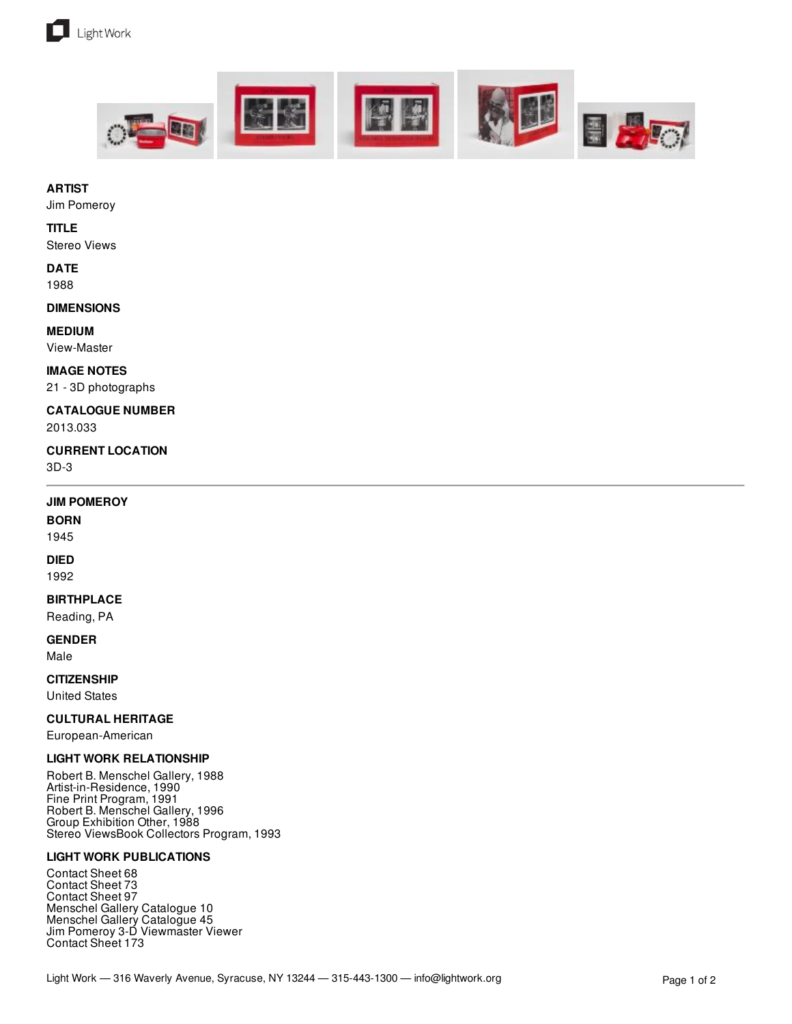





#### **ARTIST**

Jim Pomeroy

#### **TITLE**

Stereo Views

# **DATE**

1988

#### **DIMENSIONS**

#### **MEDIUM**

View-Master

#### **IMAGE NOTES**

21 - 3D photographs

## **CATALOGUE NUMBER**

2013.033

#### **CURRENT LOCATION**

3D-3

#### **JIM POMEROY**

#### **BORN**

1945

#### **DIED**

1992

### **BIRTHPLACE**

Reading, PA

# **GENDER**

Male

#### **CITIZENSHIP**

United States

#### **CULTURAL HERITAGE**

European-American

#### **LIGHT WORK RELATIONSHIP**

Robert B. Menschel Gallery, 1988 Artist-in-Residence, 1990 Fine Print Program, 1991 Robert B. Menschel Gallery, 1996 Group Exhibition Other, 1988 Stereo ViewsBook Collectors Program, 1993

#### **LIGHT WORK PUBLICATIONS**

Contact Sheet 68 Contact Sheet 73 Contact Sheet 97 Menschel Gallery Catalogue 10 Menschel Gallery Catalogue 45 Jim Pomeroy 3-D Viewmaster Viewer Contact Sheet 173